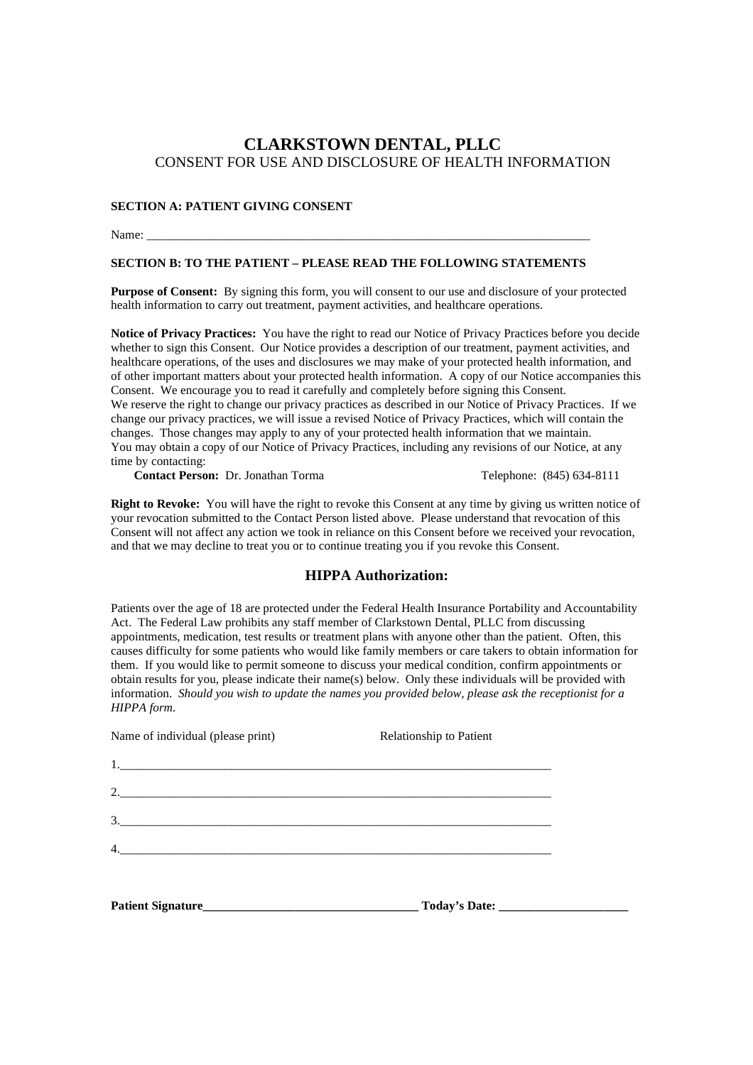## **CLARKSTOWN DENTAL, PLLC**  CONSENT FOR USE AND DISCLOSURE OF HEALTH INFORMATION

#### **SECTION A: PATIENT GIVING CONSENT**

Name: \_\_\_\_\_\_\_\_\_\_\_\_\_\_\_\_\_\_\_\_\_\_\_\_\_\_\_\_\_\_\_\_\_\_\_\_\_\_\_\_\_\_\_\_\_\_\_\_\_\_\_\_\_\_\_\_\_\_\_\_\_\_\_\_\_\_\_\_\_\_\_\_

### **SECTION B: TO THE PATIENT – PLEASE READ THE FOLLOWING STATEMENTS**

**Purpose of Consent:** By signing this form, you will consent to our use and disclosure of your protected health information to carry out treatment, payment activities, and healthcare operations.

**Notice of Privacy Practices:** You have the right to read our Notice of Privacy Practices before you decide whether to sign this Consent. Our Notice provides a description of our treatment, payment activities, and healthcare operations, of the uses and disclosures we may make of your protected health information, and of other important matters about your protected health information. A copy of our Notice accompanies this Consent. We encourage you to read it carefully and completely before signing this Consent. We reserve the right to change our privacy practices as described in our Notice of Privacy Practices. If we change our privacy practices, we will issue a revised Notice of Privacy Practices, which will contain the changes. Those changes may apply to any of your protected health information that we maintain. You may obtain a copy of our Notice of Privacy Practices, including any revisions of our Notice, at any time by contacting:

**Contact Person:** Dr. Jonathan Torma Telephone: (845) 634-8111

**Right to Revoke:** You will have the right to revoke this Consent at any time by giving us written notice of your revocation submitted to the Contact Person listed above. Please understand that revocation of this Consent will not affect any action we took in reliance on this Consent before we received your revocation, and that we may decline to treat you or to continue treating you if you revoke this Consent.

### **HIPPA Authorization:**

Patients over the age of 18 are protected under the Federal Health Insurance Portability and Accountability Act. The Federal Law prohibits any staff member of Clarkstown Dental, PLLC from discussing appointments, medication, test results or treatment plans with anyone other than the patient. Often, this causes difficulty for some patients who would like family members or care takers to obtain information for them. If you would like to permit someone to discuss your medical condition, confirm appointments or obtain results for you, please indicate their name(s) below. Only these individuals will be provided with information. *Should you wish to update the names you provided below, please ask the receptionist for a HIPPA form.* 

| Name of individual (please print) | Relationship to Patient         |  |
|-----------------------------------|---------------------------------|--|
|                                   |                                 |  |
|                                   |                                 |  |
| 3.                                |                                 |  |
|                                   |                                 |  |
|                                   | Today's Date: _________________ |  |